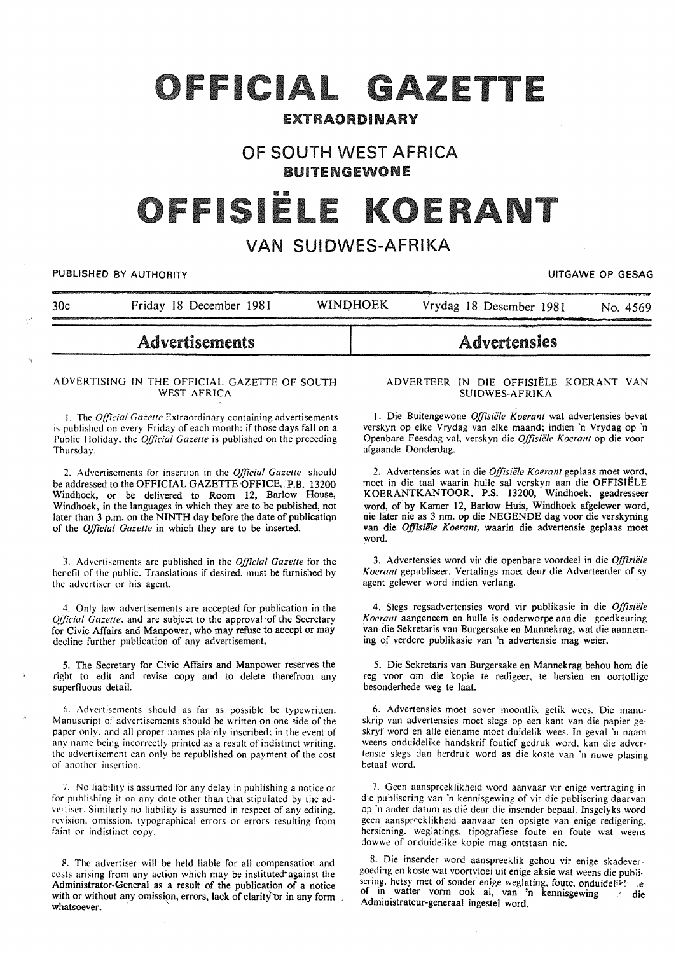# OFFICIAL GAZETTE

# EXTRAORDINARY

# OF SOUTH WEST AFRICA BUITENGEWONE

# ISIE

# VAN SUIDWES-AFRIKA

PUBLISHED BY AUTHORITY **EXAGGED AT A SEXUAL STATES AS A SEXUAL STATES OF GESAGGED AT A SEXUAL STATES OF GESAGGED** 

| 30c | Friday 18 December 1981 | <b>WINDHOEK</b> | Vrydag 18 Desember 1981<br>No. 4569 |
|-----|-------------------------|-----------------|-------------------------------------|
|     | <b>Advertisements</b>   |                 | <b>Advertensies</b>                 |

#### ADVERTISING IN THE OFFICIAL GAZETTE OF SOUTH WEST AFRICA

I. The *O.fficial Gazetle* Extraordinary containing advertisements is published on every Friday of each month: if those days fall on a Public Holiday. the *Official Gazetle* is published on the preceding Thursday.

2. Advertisements for insertion in the *Official Gazette* should be addressed to the OFFICIAL GAZETTE OFFICE, P.B. 13200 Windhoek, or be delivered to Room 12, Barlow House, Windhoek, in the languages in which they are to be published, not later than 3 p.m. on the NINTH day before the date of publicatiqn of the *Official Gazette* in which they are to be inserted.

3. Advertisements are published in the *Official Gazette* for the benefit of the public. Translations if desired. must be furnished by the advertiser or his agent.

4. Only law advertisements are accepted for publication in the *Official Gazette.* and are subject to the approval of the Secretary for Civic Affairs and Manpower, who may refuse to accept or may decline further publication of any advertisement.

5. The Secretary for Civic Affairs and Manpower reserves the right to edit and revise copy and to delete therefrom any superfluous detail.

6. Advertisements should as far as possible be typewritten. Manuscript of advertisements should be written on one side of the paper only. and all proper names plainly inscribed: in the event of any name being incorrectly printed as a result of indistinct writing. the advertisement can only be republished on payment of the cost of another insertion.

7. No liability is assumed for any delay in publishing a notice or for publishing it on any date other than that stipulated by the advertiser. Similarly no liability is assumed in respect of any editing. revision. omission. typographical errors or errors resulting from faint or indistinct copy.

8. The advertiser will be held liable for all compensation and costs arising from any action which may be instituted·against the Administrator-General as a result of the publication of a notice with or without any omission, errors, lack of clarity or in any form whatsoever.

#### ADVERTEER IN DIE OFFISIELE KOERANT VAN SUIDWES-AFRIKA

1. Die Buitengewone Offisiële Koerant wat advertensies bevat verskyn op elke Vrydag van elke maand; indien 'n Vrydag op 'n Openbare Feesdag val, verskyn die Offisiële Koerant op die voorafgaande Donderdag.

2. Advertensies wat in die *Offisiële Koerant* geplaas moet word, moet in die taal waarin hulle sal verskyn aan die OFFISIELE KOERANTKANTOOR, P.S. 13200, Windhoek, geadresseer word, of by Kamer 12, Barlow Huis, Windhoek afgelewer word, nie later nie as 3 nm. op die NEGENDE dag voor die verskyning van die Offisiële Koerant, waarin die advertensie geplaas moet word.

3. Advertensies word vir die openbare voordeel in die *Offisii!le*  Koerant gepubliseer. Vertalings moet deur die Adverteerder of sy agent gelewer word indien verlang.

4. Slegs regsadvertensies word vir publikasie in die Offisiële *Koerant* aangeneem en hulle is onderworpe aan die goedkeuring van die Sekretaris van Burgersake en Mannekrag, wat die aanneming of verdere publikasie van 'n advertensie mag weier.

5. Die Sekretaris van Burgersake en Mannekrag behou hom die reg voor, om die kopie te redigeer, te hersien en oortollige besonderhede weg te Iaat.

6. Advertensies moet sover moontlik getik wees. Die manuskrip van advertensies moet slegs op een kant van die papier geskryf word en aile eiename moet duidelik wees. In geval ·n naam weens onduidelike handskrif foutief gedruk word, kan die advertensie slegs dan herdruk word as die koste van 'n nuwe plasing betaal word.

7. Geen aanspreeklikheid word aanvaar vir enige vertraging in die publisering van "n kennisgewing of vir die publisering daarvan op ·n ander datum as die deur die insender bepaal. Insgelyks word geen aanspreeklikheid aanvaar ten opsigte van enige redigering, hersiening. weglatings. tipografiese foute en foute wat weens dowwe of onduidelike kopie mag ontstaan nie.

8. Die insender word aanspreeklik gehou vir enige skadevergoeding en koste wat voortvloei uit enige aksie wat weens die publi· sering. hetsy met of sonder enige weglating. foute. onduidelik! a of in watter vorm ook al, van 'n kennisgewing die Administrateur-generaal ingestel word.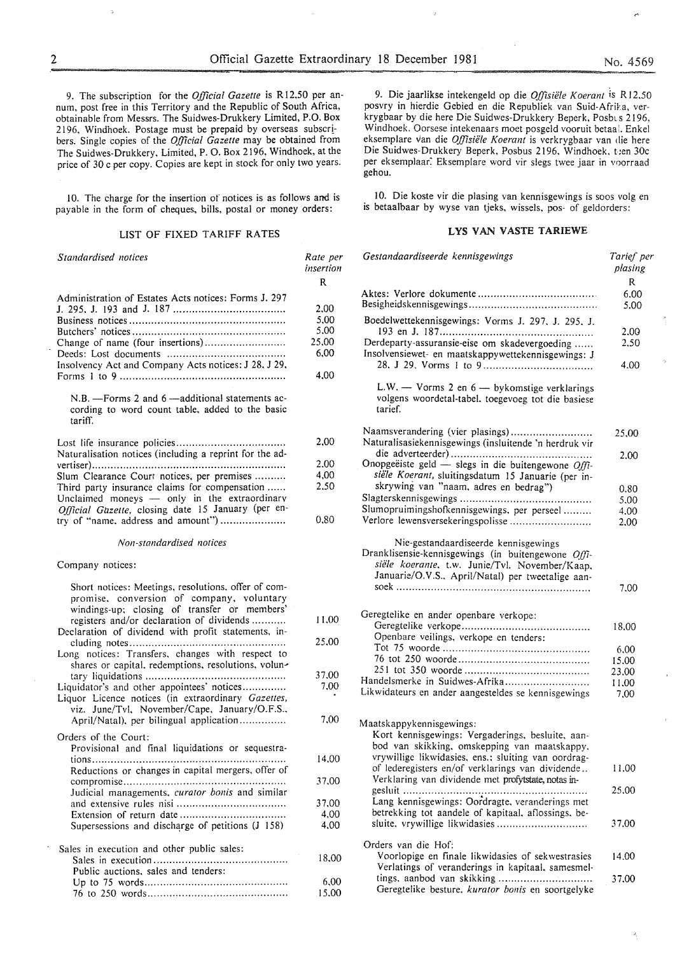9. The subscription for the *Official Gazette* is R12,50 per annum, post free in this Territory and the Republic of South Africa, obtainable from Messrs. The Suidwes-Drukkery Limited, P.O. Box 2196, Windhoek. Postage must be prepaid by overseas subscribers. Single copies of the *Official Gazette* may be obtained from The Suidwes-Drukkery, Limited, P. 0. Box 2196, Windhoek, at the price of 30 c per copy. Copies are kept in stock for only two years.

10. The charge for the insertion of notices is as follows and is payable in the form of cheques, bills, postal or money orders:

#### LIST OF FIXED TARIFF RATES

| Standardised notices                                                                                                                                                                              | Rate per<br>insertion<br>R                    |
|---------------------------------------------------------------------------------------------------------------------------------------------------------------------------------------------------|-----------------------------------------------|
| Administration of Estates Acts notices: Forms J. 297<br>Change of name (four insertions)<br>Insolvency Act and Company Acts notices: J 28, J 29,                                                  | 2,00<br>5,00<br>5,00<br>25,00<br>6,00<br>4,00 |
| N.B. - Forms 2 and 6 - additional statements ac-<br>cording to word count table, added to the basic<br>tariff.                                                                                    |                                               |
| Naturalisation notices (including a reprint for the ad-                                                                                                                                           | 2,00                                          |
|                                                                                                                                                                                                   | 2.00                                          |
| Slum Clearance Court notices, per premises<br>Third party insurance claims for compensation<br>Unclaimed moneys - only in the extraordinary<br>Official Gazette, closing date 15 January (per en- | 4,00<br>2,50                                  |
| try of "name, address and amount")                                                                                                                                                                | 0,80                                          |
| Non-standardised notices                                                                                                                                                                          |                                               |
| Company notices:                                                                                                                                                                                  |                                               |
| Short notices: Meetings, resolutions, offer of com-<br>promise, conversion of company, voluntary<br>windings-up; closing of transfer or members'<br>registers and/or declaration of dividends     | 11,00                                         |
| Declaration of dividend with profit statements, in-<br>Long notices: Transfers, changes with respect to<br>shares or capital, redemptions, resolutions, volun-                                    | 25,00                                         |
|                                                                                                                                                                                                   | 37.00                                         |
| Liquidator's and other appointees' notices<br>Liquor Licence notices (in extraordinary Gazettes,<br>viz. June/Tvl, November/Cape, January/O.F.S.,                                                 | 7.00                                          |
| April/Natal), per bilingual application                                                                                                                                                           | 7.00                                          |
| Orders of the Court:<br>Provisional and final liquidations or sequestra-<br>Reductions or changes in capital mergers, offer of                                                                    | 14,00                                         |
| Judicial managements, curator bonis and similar                                                                                                                                                   | 37,00                                         |
|                                                                                                                                                                                                   | 37,00                                         |
|                                                                                                                                                                                                   | 4,00                                          |
| Supersessions and discharge of petitions (J 158)                                                                                                                                                  | 4,00                                          |
| Sales in execution and other public sales:                                                                                                                                                        | 18,00                                         |
| Public auctions, sales and tenders:                                                                                                                                                               |                                               |
|                                                                                                                                                                                                   | 6,00                                          |
|                                                                                                                                                                                                   | 15,00                                         |

9. Die jaarlikse intekenge1d op die *Offisiele K oerant* is R 12.50 posvry in hierdie Gebied en die Republiek van Suid-Afrika, verkrygbaar by die here Die Suidwes-Drukkery Beperk, Posbl s 2196, Windhoek. Oorsese intekenaars moet posgeld vooruit betaal. Enkel eksemplare van die *Offisiele Koerant* is verkrygbaar van die here Die Suidwes-Drukkery Beperk, Posbus 2196, Windhoek, t:en 30c per eksemplaar. Eksemplare word vir slegs twee jaar in voorraad gehou.

10. Die koste vir die plasing van kennisgewings is soos volg en is betaalbaar by wyse van tjeks, wissels. pos- of geldorders:

#### LYS VAN VASTE TARIEWE

| Gestandaardiseerde kennisgewings                                                                                                                                                                  | Tarief per<br>plasing |
|---------------------------------------------------------------------------------------------------------------------------------------------------------------------------------------------------|-----------------------|
|                                                                                                                                                                                                   | R                     |
|                                                                                                                                                                                                   | 6.00<br>5,00          |
| Boedelwettekennisgewings: Vorms J. 297, J. 295, J.                                                                                                                                                | 2.00                  |
| Derdeparty-assuransie-eise om skadevergoeding<br>Insolvensiewet- en maatskappywettekennisgewings: J                                                                                               | 2.50<br>4.00          |
| L.W. $-$ Vorms 2 en $6 -$ by komstige verklarings<br>volgens woordetal-tabel, toegevoeg tot die basiese<br>tarief.                                                                                |                       |
| Naamsverandering (vier plasings)<br>Naturalisasiekennisgewings (insluitende 'n herdruk vir                                                                                                        | 25,00                 |
| Onopgeëiste geld - slegs in die buitengewone Offi-<br>siële Koerant, sluitingsdatum 15 Januarie (per in-                                                                                          | 2.00                  |
| skrywing van "naam, adres en bedrag")                                                                                                                                                             | 0.80                  |
|                                                                                                                                                                                                   | 5,00                  |
| Slumopruimingshofkennisgewings, per perseel                                                                                                                                                       | 4.00                  |
| Verlore lewensversekeringspolisse                                                                                                                                                                 | 2,00                  |
| Nie-gestandaardiseerde kennisgewings<br>Dranklisensie-kennisgewings (in buitengewone Offi-<br>siële koerante, t.w. Junie/Tvl. November/Kaap,<br>Januarie/O.V.S., April/Natal) per tweetalige aan- |                       |
|                                                                                                                                                                                                   | 7.00                  |
| Geregtelike en ander openbare verkope:                                                                                                                                                            |                       |
| Openbare veilings, verkope en tenders:                                                                                                                                                            | 18,00                 |
|                                                                                                                                                                                                   | 6.00                  |
|                                                                                                                                                                                                   | 15,00                 |
|                                                                                                                                                                                                   | 23,00                 |
| Handelsmerke in Suidwes-Afrika                                                                                                                                                                    | 11,00                 |
| Likwidateurs en ander aangesteldes se kennisgewings                                                                                                                                               | 7.00                  |
| Maatskappykennisgewings:<br>Kort kennisgewings: Vergaderings, besluite, aan-<br>bod van skikking, omskepping van maatskappy,                                                                      |                       |
| vrywillige likwidasies, ens.; sluiting van oordrag-<br>of lederegisters en/of verklarings van dividende                                                                                           | 11,00                 |
| Verklaring van dividende met profytstate, notas in-                                                                                                                                               | 25,00                 |
| Lang kennisgewings: Oordragte, veranderings met                                                                                                                                                   |                       |
| betrekking tot aandele of kapitaal, aflossings, be-                                                                                                                                               |                       |
| sluite, vrywillige likwidasies                                                                                                                                                                    | 37.00                 |
| Orders van die Hof:                                                                                                                                                                               |                       |
| Voorlopige en finale likwidasies of sekwestrasies<br>Verlatings of veranderings in kapitaal, samesmel-                                                                                            | 14.00                 |
| tings, aanbod van skikking<br>Geregtelike besture, kurator bonis en soortgelyke                                                                                                                   | 37,00                 |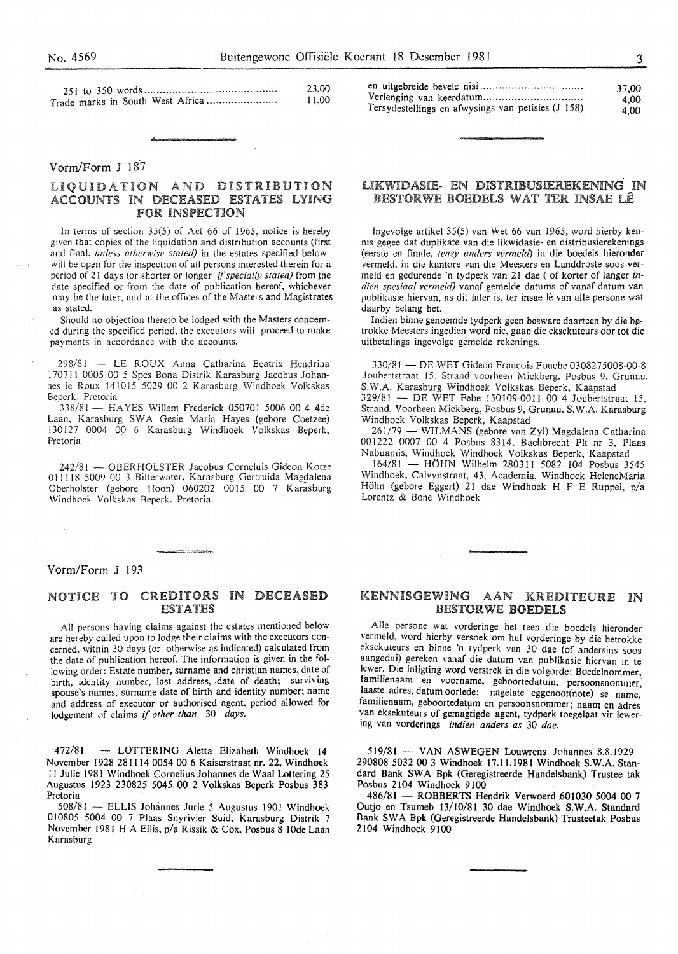|  | 23,00<br>.1.00 | Tersydestellings en afwysings van petisies (J 158) | 37.00<br>4.00<br>4.00 |
|--|----------------|----------------------------------------------------|-----------------------|
|--|----------------|----------------------------------------------------|-----------------------|

#### Vorrn/Form J 187

# LIQUIDATION AND DISTRIBUTION ACCOUNTS IN DECEASED ESTATES LYING<br>FOR INSPECTION

In terms of section 35(5) of Act 66 of 1965, notice is hereby given that copies of the liquidation and distribution accounts (first and final. *unless otherwise stated)* in the estates specified below will be open for the inspection of all persons interested therein for a period of 21 days (or shorter or longer *if specially stated)* from \_the date specified or from the date of publication hereof, whichever may be the later, and at the offices of the Masters and Magistrates as stated.

Should no objection thereto be lodged with the Masters concern ed during the specified period, the executors will proceed to make payments in accordance with the accounts.

298/81 LE ROUX Anna Catharina Beatrix Hendrina 170711 0005 00 5 Spes Bona Distrik Karasburg Jacobus Johannes le Roux 141015 5029 00 2 Karasburg Windhoek Volkskas Beperk. Pretoria

338/81 - HAYES Willem Frederick 050701 5006 00 4 4de Laan, Karasburg SW A Gesie Maria Hayes (gebore Coetzee) 130!27 0004 00 6 Karasburg Windhoek Volkskas Beperk, Pretoria

242/81 - OBERHOLSTER Jacobus Corneluis Gideon Kotze 011118 5009 00 3 Bitterwater. Karasburg Gertruida Magdalena Oberholster (gebore Hoon) 060202 0015 00 7 Karasburg Windhoek Volkskas Beperk. Pretoria.

### LIKWIDASIE- EN DISTRIBUSIEREKENING IN BESTORWE BOEDELS WAT TER INSAE LÊ

Ingevolge artikel 35(5) van Wet 66 van 1965, word hierby kennis gegee dat duplikate van die Iikwidasie- en distribusierekenings (eerste en finale, *tensy anders vermeld)* in die boedels hieronder vermeld, in die kantore van die Meesters en Landdroste soos vermeld en gedurende 'n tydperk van 21 dae (of korter of Ianger *indien spesiaal vermeld)* vanaf gemelde datums of vanaf datum van publikasie hiervan, as dit later is, ter insae lê van alle persone wat daarby belang het.

Indien binne genoemde tydperk geen besware daarteen by die betrokke Meesters ingedien word nie, gaan die eksekuteurs oor tot die uitbetalings ingevolge gemelde rekenings.

330/81 -DE WET Gideon Francois Fouche 0308275008-00-8 Joubcrtstraat 15. Strand voorheen Mickberg. Posbus 9. Grunau. S.W.A. Karasburg Windhoek Volkskas Beperk, Kaapstad

329/81 - DE WET Febe 150109-0011 00 4 Joubertstraat 15, Strand, Voorheen Mickberg, Posbus 9, Grunau. S.W.A. Karasburg Windhoek Volkskas Beperk, Kaapstad

261/79 - WILMANS (gebore van Zyl) Magdalena Catharina 001222 0007 00 4 Posbus 8314, Bachbrecht Pit nr 3, Plaas Nabuamis. Windhoek Windhoek Volkskas Beperk, Kaapstad

 $164/81$  — HOHN Wilhelm 280311 5082 104 Posbus 3545 Windhoek, Calvynstraat, 43, Academia, Windhoek HeleneMaria Holm (gebore Eggert) 21 dae Windhoek H F E Ruppel, p/a Lorentz & Bone Windhoek

# Vorm/Form J 193

# NOTICE TO CREDITORS IN DECEASED ESTATES

All persons having claims against the estates mentioned below are hereby called upon to lodge their claims with the executors concerned, within 30 days (or otherwise as indicated) calculated from the date of publication hereof. Tne information is given in the following order: Estate number, surname and christian names, date of birth, identity number, last address, date of death; surviving spouse's names, surname date of birth and identity number; name and address of executor or authorised agent, period allowed for lodgement of claims if other than 30 days.

472/81 - LOTTERING Aletta Elizabeth Windhoek 14 November 1928 281114 0054 00 6 Kaiserstraat nr. 22, Windhoek II Julie 1981 Windhoek Cornelius Johannes de Waal Lottering 25 Augustus 1923 230825 *5045* 00 2 Volkskas Beperk Posbus 383 Pretoria

508/81 - ELLIS Johannes Jurie 5 Augustus 1901 Windhoek 010805 5004 00 7 Plaas Snyrivier Suid, Karasburg Distrik 7 November 1981 H A Ellis. p/a Rissik & Cox, Posbus 8 lOde Laan Karasburg

#### KENNISGEWING AAN KREDITEURE IN BESTORWE BOEDELS

Aile persone wat vorderinge het teen die boedels hieronder vermeld, word hierby versoek om hul vorderinge by die betrokke eksekuteurs en binne 'n tydperk van 30 dae (of andersins soos aangedui) gereken vanaf die datum van publikasie hiervan in te lewer. Die inligting word verstrek in die volgorde: Boedelnommer, familienaam en voorname, geboortedatum, persoonsnommer; laaste adres, datum oorlede; nagelate eggenoot(note) se name, familienaam, geboortedatum en persoonsnommer; naam en adres van eksekuteurs of gemagtigde agent, tydperk toegelaat vir lewering van vorderings *indien anders as* 30 *dae.* 

 $519/81 - VAN ASWEGEN Louwrens Johannes 8.8.1929$ 290808 5032 00 3 Windhoek 17.11.1981 Windhoek S.W.A. Standard Bank SWA Bpk (Geregistreerde Handelsbank) Trustee tak Posbus 2104 Windhoek 9100

486/81 - ROBBERTS Hendrik Verwoerd 601030 5004 00 7 Outjo en Tsumeb 13/10/81 30 dae Windhoek S.W.A. Standard Bank SWA Bpk (Geregistreerde Handelsbank) Trusteetak Posbus 2104 Windhoek 9100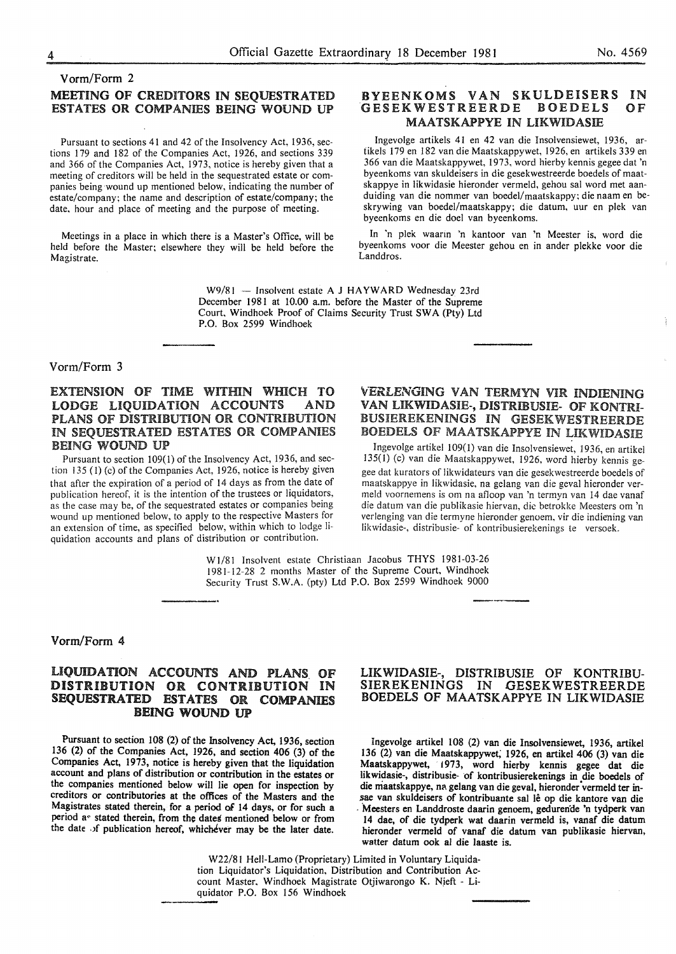# Vorm/Form 2 MEETING OF CREDITORS IN SEQUESTRATED ESTATES OR COMPANIES BEING WOUND UP

Pursuant to sections 41 and 42 of the Insolvency Act, 1936, sections 179 and 182 of the Companies Act, 1926, and sections 339 and 366 of the Companies Act, 1973, notice is hereby given that a meeting of creditors will be held in the sequestrated estate or companies being wound up mentioned below, indicating the number of estate/company; the name and description of estate/company; the date, hour and place of meeting and the purpose of meeting.

Meetings in a place in which there is a Master's Office, will be held before the Master; elsewhere they will be held before the Magistrate.

#### BYEENKOMS VAN SKULDEISERS<br>GESEKWESTREERDE BOEDELS GESEKWESTREERDE MAATSKAPPYE IN LIKWIDASIE IN OF

Ingevolge artikels 41 en 42 van die Insolvensiewet, 1936, artikels 179 en 182 van die Maatskappywet, 1926, en artikels 339 en 366 van die Maatskappywet, 1973, word hierby kennis gegee dat 'n byeenkoms van skuldeisers in die gesekwestreerde boedels of maatskappye in likwidasie hieronder vermeld, gehou sal word met aanduiding van die nommer van boedel/maatskappy; die naam en beskrywing van boedel/maatskappy; die datum, uur en plek van byeenkoms en die doe! van byeenkoms.

In 'n plek waarin 'n kantoor van 'n Meester is, word die byeenkoms voor die Meester gehou en in ander plekke voor die Landdros.

W9/81 - Insolvent estate A J HAYWARD Wednesday 23rd December 1981 at 10.00 a.m. before the Master of the Supreme Court, Windhoek Proof of Claims Security Trust SWA (Pty) Ltd P.O. Box 2599 Windhoek

#### Vorm/Form 3

# EXTENSION OF TIME WITHIN WHICH TO LODGE LIQUIDATION ACCOUNTS AND PLANS OF DISTRIBUTION OR CONTRIBUTION IN SEQUESTRATED ESTATES OR COMPANIES BEING WOUND UP

Pursuant to section 109(1) of the Insolvency Act, 1936, and section 135 (1) (c) of the Companies Act, 1926, notice is hereby given that after the expiration of a period of 14 days as from the date of publication hereof, it is the intention of the trustees or liquidators, as the case may be, of the sequestrated estates or companies being wound up mentioned below, to apply to the respective Masters for an extension of time, as specified below, within which to lodge liquidation accounts and plans of distribution or contribution.

# VERLENGING VAN TERMYN VIR INDIENING VAN LIKWIDASIE-, DISTRIBUSIE- OF KONTRI-BUSIEREKENINGS IN GESEKWESTREERDE BOEDELS OF MAATSKAPPYE IN LIKWIDASIE

Ingevolge artikel 109(1) van die Insolvensiewet, 1936, en artikel 135(1) (c) van die Maatskappywet, 1926, word hierby kennis gegee dat kurators of likwidateurs van die gesekwestreerde boedels of maatskappye in likwidasie, na gelang van die geval hieronder vermeld voornemens is om na afloop van 'n termyn van 14 dae vanaf die datum van die publikasie hiervan, die betrokke Meesters om 'n verlenging van die termyne hieronder genoem, vir die indiening van likwidasie-, distribusie- of kontribusierekenings te versoek.

W 1/81 Insolvent estate Christiaan Jacobus THYS 1981-03-26 1981-12-28 2 months Master of the Supreme Court, Windhoek Security Trust S.W.A. (pty) Ltd P.O. Box 2599 Windhoek 9000

#### Vorm/Form 4

# LIQUIDATION ACCOUNTS AND PLANS OF DISTRIBUTION OR CONTRIBUTION IN SEQUESTRATED ESTATES OR COMPANIES BEING WOUND UP

Pursuant to section 108 (2) of the Insolvency Act, 1936, section 136 (2) of the Companies Act, 1926, and section 406 (3) of the Companies Act, 1973, notice is hereby given that the liquidation account and plans of distribution or contribution in the estates or the companies mentioned below will lie open for inspection by creditors or contributories at the offices of the Masters and the Magistrates stated therein, for a period of 14 days, or for such a period a~ stated therein, from the dates mentioned below or from the date of publication hereof, whichever may be the later date.

#### UKWIDASIE-, DISTRIBUSIE OF KONTRIBU-SIEREKENINGS IN GESEKWESTREERDE BOEDELS OF MAATSKAPPYE IN LIKWIDASIE

Ingevolge artikel 108 (2) van die Insolvensiewet, 1936, artikel 136 (2) van die Maatskappywet, 1926, en artikel 406 (3) van die Maatskappywet, 1973, word hierby kennis gegee dat die likwidasie-, distribusie- of kontribusierekenings in die boedels of die maatskappye, na gelang van die geval, hieronder vermeld ter insae van skuldeisers of kontribuante sal lê op die kantore van die . Meesters en Landdroste daarin genoem, gedurende 'n tydperk van 14 dae, of die tydperk wat daarin vermeld is, vanaf die datum hieronder vermeld of vanaf die datum van publikasie hiervan, watter datum ook al die laaste is.

W22/8! Hell-Lamo (Proprietary) Limited in Voluntary Liquidation Liquidator's Liquidation, Distribution and Contribution Account Master. Windhoek Magistrate Otjiwarongo K. Njeft - Liquidator P.O. Box 156 Windhoek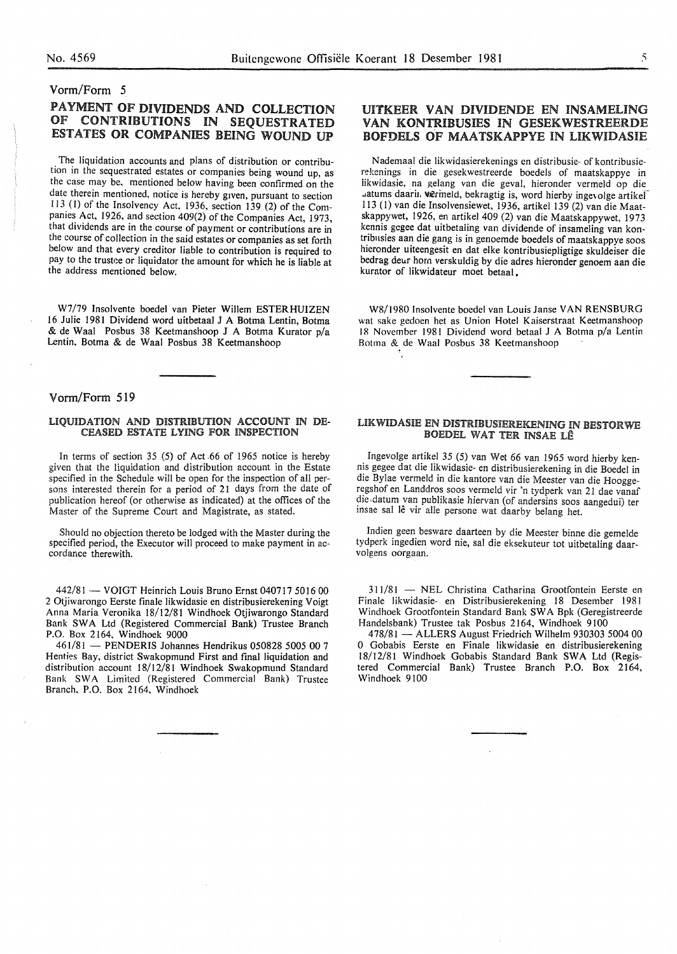# Vorm/Form 5

# PAYMENT OF DIVIDENDS AND COLLECTION OF CONTRIBUTIONS IN SEQUESTRATED ESTATES OR COMPANIES BEING WOUND UP

The liquidation accounts and plans of distribution or contribution in the sequestrated estates or companies being wound up, as the case may be, mentioned below having been confirmed on the date therein mentioned, notice is hereby given, pursuant to section 113 (1) of the Insolvency Act, 1936, section 139 (2) of the Companies Act, I926, and section 409(2) of the Companies Act, 1973, that dividends are in the course of payment or contributions are in the course of collection in the said estates or companies as set forth below and that every creditor liable to contribution is required to pay to the trustee or liquidator the amount for which he is liable at the address mentioned below.

W7/79 Insolvente boedel van Pieter Willem ESTERHUIZEN 16 Julie I98I Dividend word uitbetaai J A Botma Lentin, Botma & de Waal Posbus 38 Keetmanshoop J A Botma Kurator p/a Lentin, Botma & de Waal Posbus 38 Keetmanshoop

# Vorm/Form 519

#### LIQUIDATION AND DISTRIBUTION ACCOUNT IN DE-CEASED ESTATE LYING FOR INSPECTION

In terms of section  $35(5)$  of Act 66 of 1965 notice is hereby given that the liquidation and distribution account in the Estate specified in the Schedule will be open for the inspection of all persons interested therein for a period of 21 days from the date of publication hereof (or otherwise as indicated) at the offices of the Master of the Supreme Court and Magistrate, as stated.

Should no objection thereto be lodged with the Master during the specified period, the Executor will proceed to make payment in accordance therewith.

442/81 - VOIGT Heinrich Louis Bruno Ernst 040717 5016 00 2 Otjiwarongo Eerste finale likwidasie en distribusierekening Voigt Anna Maria Veronika 18/I2/8I Windhoek Otjiwarongo Standard Bank SW A Ltd (Registered Commercial Bank) Trustee Branch P.O. Box 2I64, Windhoek 9000

461/81 - PENDERIS Johannes Hendrikus 050828 5005 00 7 Henties Bay, district Swakopmund First and final liquidation and distribution account I8/I2/8I Windhoek Swakopmund Standard Bank SWA Limited (Registered Commercial Bank) Trustee Branch, P.O. Box 2164, Windhoek

# UITKEER VAN DIVIDENDE EN INSAMELING VAN KONTRIBUSIES IN GESEKWESTREERDE BOFDELS OF MAATSKAPPYE IN UKWIDASIE

Nademaal die likwidasierekenings en distribusie- of kontribusierekenings in die gesekwestreerde boedels of maatskappye in iikwidasie, na gelang van die geval, hieronder vermeld op die . atums daarin wermeld, bekragtig is, word hierby ingevolge artikel I 13 (l) van die Insolvensiewet, 1936, artikel I39 (2) van die Maatskappywet, 1926, en artikel 409 (2) van die Maatskappywet, 1973 kennis gcgee dat uitbetaling van dividende of insameling van kontribnsies aan die gang is in genoemde boedels of maatskappye soos hieronder uiteengesit en dat elke kontribusiepligtige skuldeiser die bedrag deur hom verskuldig by die adres hieronder genoem aan die kurator of likwidateur moet betaal.

W8/1980 lnsolvente boedel van LouisJanse VAN RENSBURG wat sake gedoen het as Union Hotel Kaiserstraat Keetmanshoop 18 November 1981 Dividend word betaal J A Botma p/a Lentin Botma & de Waal Posbus 38 Keetmanshoop ۹.

# UKWIDASIE EN DISTRIBUSIEREKENING IN BESTORWE BOEDEL WAT TER INSAE LÊ

Ingevolge artikel 35 (5) van Wet 66 van 1965 word hierby kennis gegee dat die Iikwidasie- en distribusierekening in die Boedel in die Bylae vermeld in die kantore van die Meester van die Hooggeregshof en Landdros soos vermeld vir 'n tydperk van 21 dae vanaf die-datum van publikasie hiervan (of andersins soos aangedui) ter insae sal le vir aile persone wat daarby belang het.

Indien geen besware daarteen by die Meester binne die gemelde tydperk ingedien word nie, sal die eksekuteur tot uitbetaling daarvolgens oorgaan.

311/81 - NEL Christina Catharina Grootfontein Eerste en Finale likwidasie- en Distribusierekening 18 Desember 1981 Windhoek Grootfontein Standard Bank SW A Bpk (Geregistreerde Handelsbank) Trustee tak Posbus 2164, Windhoek 9100

478/81 - ALLERS August Friedrich Wilhelm 930303 5004 00 0 Gobabis Eerste en Finale likwidasie en distribusierekening 18/12/81 Windhoek Gobabis Standard Bank SWA Ltd (Registered Commercial Bank) Trustee Branch P.O. Box 2164, Windhoek 9100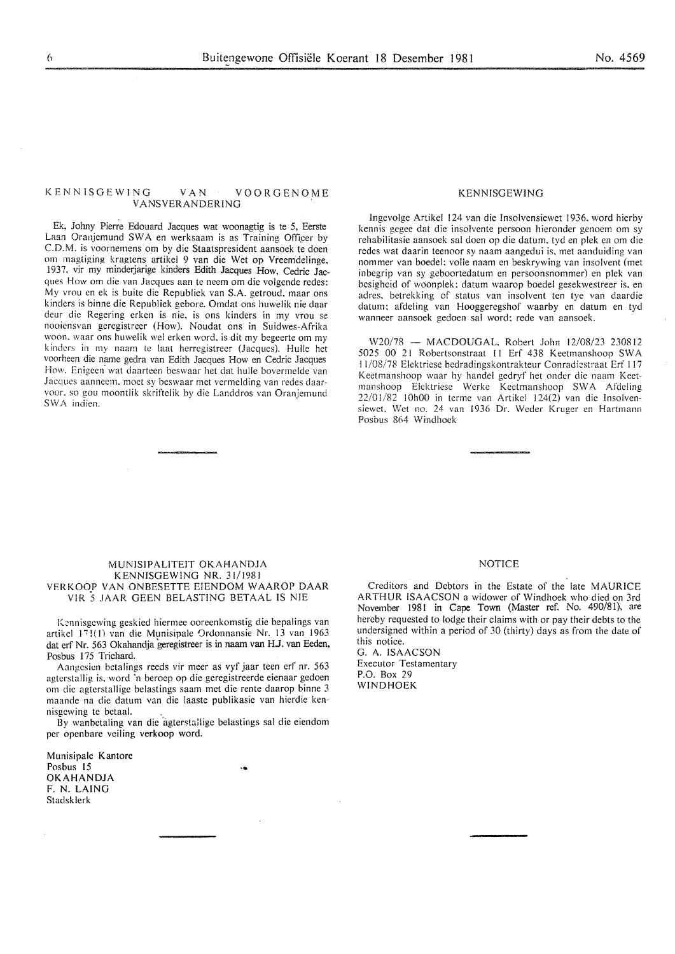#### KENNlSGEWING VAN VOORGENOME VANSVERANDERING

Ek, Johny Pierre Edouard Jacques wat woonagtig is te 5, Eerste Laan Oranjemund SWA en werksaam is as Training Officer by C.D.M. is voornemens om by die Staatspresident aansoek te doen om magtiging kragtens artikel 9 van die Wet op Vreemdelinge, 1937. vir my minderjarige kinders Edith Jacques How, Cedric Jacques How om die van Jacques aan te neem om die volgende redes: My vrou en ek is buite die Republiek van S.A. getroud, maar ons kinders is binne die Republiek gebore. Omdat ons huwelik nie daar deur die Regering erken is nie, is ons kinders in my vrou se nooiensvan geregistreer (How). Noudat ons in Suidwes-Afrika woon. waar ons huwelik wel erken word. is dit my begeerte om my kindcrs in my naam te laat herregistreer (Jacques). Hulle het voorheen die name gedra van Edith Jacques How en Cedric Jacques How. Enigeen wat daarteen beswaar het dat hulle bovermelde van Jacques aanncem. moet sy beswaar met vermelding van redes daarvoor. so gou moontlik skriftelik by die Landdros van Oranjemund SWA indien.

#### KENNISGEWING

lngevolge Artikel 124 van die lnsolvensiewet 1936. word hierby kennis gegee dat die insolvente persoon hieronder genoem om sy rehabilitasie aansoek sal doen op die datum. tyd en plek en om die redes wat daarin teenoor sy naam aangedui is, met aanduiding van nommer van boedel: volle naam en beskrywing van insolvent (met inbegrip van sy geboortedatum en persoonsnommer) en plek van besigheid of woonplek: datum waarop boedel gesekwestreer is, en adres. betrekking of status van insolvent ten tye van daardie datum: afdeling van Hooggeregshof waarby en datum en tyd wanneer aansoek gedoen sal word: rede van aansoek.

W20/78 - MACDOUGAL, Robert John 12/08/23 230812 5025 00 21 Robertsonstraat 11 Erf 438 Keetmanshoop SWA 11/08/78 Elektriese bedradingskontrakteur Conradiestraat Erf 117 Kectmanshoop waar hy handel gedryf het onder die naam Keetmanshoop Elektriese Werke Keetmanshoop SWA Afdeling  $22/01/82$  10h00 in terme van Artikel 124(2) van die Insolvensiewet. Wet no. 24 van 1936 Dr. Weder Kruger en Hartmann Posbus 864 Windhoek

#### MUNISJPALJTEIT OKAHANDJA KENNISGEWING NR. 31/1981 VERKOOP VAN ONBESETTE EIENDOM WAAROP DAAR VIR S JAAR GEEN BELASTING BETAAL IS NIE

Kennisgewing geskied hiermee ooreenkomstig die bepalings van artikel J7 !(I) van die Munisipale 0rdonnansie Nr. 13 van 1963 dat erf Nr. 563 Okahandja geregistreer is in naam van HJ. van Eeden, Posbus 175 Trichard.

Aangesicn betalings reeds vir meer as vyf jaar teen erf nr. 563 agterstallig is, word 'n beroep op die geregistreerde eienaar gedoen om die agterstallige belastings saam met die rente daarop binne 3 maande na die datum van die laaste publikasie van hierdie kennisgewing te betaal.

By wanbetaling van die agterstallige belastings sal die eiendom per openbare veiling verkoop word.

...

Munisipale Kantore Posbus 15 OKAHANDJA F. N. LAING Stadsklerk

#### **NOTICE**

Creditors and Debtors in the Estate of the late MAURICE ARTHUR ISAACSON a widower of Windhoek who died on 3rd November 1981 in Cape Town (Master ref. No. 490/81), are hereby requested to lodge their claims with or pay their debts to the undersigned within a period of 30 (thirty) days as from the date of this notice. G. A. ISAACSON

Executor Testamentary P.O. Box 29 WINDHOEK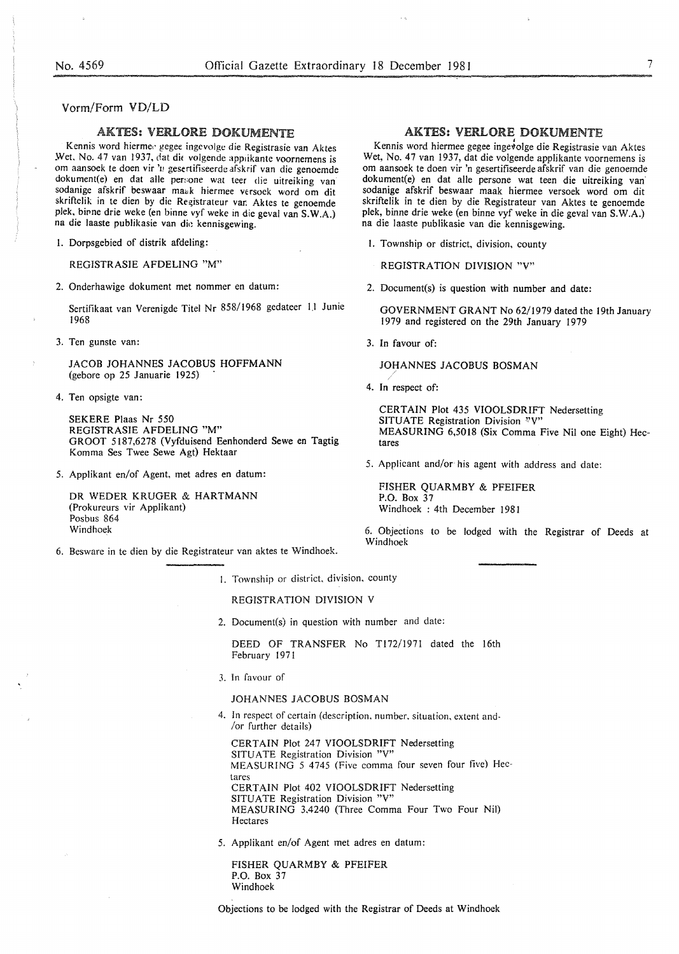#### Vorm/Form VD/LO

## AKTES: VERLORE DOKUMENTE

Kennis word hierme.· gegee ingevolgc die Registrasie van Aktes Wet. No. 47 van 1937, dat die volgende applikante voornemens is om aansoek te doen vir '11 gesertifiseerde afskrif van die genoemde dokument(e) en dat aile per::one wat teer die uitreiking van sodanige afskrif beswaar maak hiermee versoek word om dit skriftelik in te dien by die Registrateur van Aktes te genoemde plek, binne drie weke (en binne vyf weke in die geval van S.W.A.) na die laaste publikasie van die kennisgewing.

I. Dorpsgebied of distrik afdeling:

REGISTRASIE AFDELING "M"

2. Onderhawige dokument met nommer en datum:

Sertifikaat van Verenigde Titel Nr 858/1968 gedateer 11 Junie 1968

3. Ten gunste van: 3. In favour of:

JACOB JOHANNES JACOBUS HOFFMANN (gebore op 25 Januarie 1925)

4. Ten opsigte van:

SEKERE Plaas Nr 550 REGISTRASIE AFDELING "M" GROOT 5187,6278 (Vyfduisend Eenhonderd Sewe en Tagtig Komma Ses Twee Sewe Agt) Hektaar

5. Applikant en/of Agent, met adres en datum:

DR WEDER KRUGER & HARTMANN (Prokureurs vir Applikant) Posbus 864

6. Beswarc in te dien by die Registrateur van aktes te Windhoek.

# **AKTES: VERLORE DOKUMENTE**

Kennis word hiermee gegee ingevolge die Registrasie van Aktes Wet, No. 47 van 1937, dat die volgende applikante voornemens is om aansoek te doen vir 'n gesertifiseerde afskrif van die genoemde dokument(e) en dat aile persone wat teen die uitreiking van· sodanige afskrif beswaar maak hiermee versoek word om dit skriftelik in te dien by die Registrateur van Aktes te genoemde plek, binne drie weke (en binne vyf weke in die geval van S.W.A.) na die laaste publikasie van die kennisgewing.

- I. Township or district, division, county
	- REGISTRATION DIVISION "V"
- 2. Document(s) is question with number and date:

GOVERNMENT GRANT No 62/1979 dated the 19th January 1979 and registered on the 29th January 1979

JOHANNES JACOBUS BOSMAN */* 

4. In respect of:

CERTAIN Plot 435 VIOOLSDRIFT Nedersetting SITUATE Registration Division <sup>2</sup>'V' MEASURING 6,5018 (Six Comma Five Nil one Eight) Hec-

5. Applicant and/or his agent with address and date:

FISHER QUARMBY & PFEIFER P.O. Box 37 Windhoek : 4th December 1981

Windhoek 6. Objections to be lodged with the Registrar of Deeds at Windhoek

I. Township or district. division. county

#### REGISTRATION DIVISION V

2. Document(s) in question with number and date:

DEED OF TRANSFER No Tl72/1971 dated the 16th February 1971

3. In favour of

#### JOHANNES JACOBUS BOSMAN

4. In respect of certain (description. number, situation, extent and- /or further details)

CERTAIN Plot 247 VIOOLSDRIFT Nedersetting SITUATE Registration Division "V" MEASURING 5 4745 (Five comma four seven four five) Hectares CERTAIN Plot 402 VIOOLSDRIFT Nedersetting SITUATE Registration Division "V" MEASURING 3,4240 (Three Comma Four Two Four Nil) Hectares

5. Applikant en/of Agent met adres en datum:

FISHER QUARMBY & PFEIFER P.O. Box 37 Windhoek

Objections to be lodged with the Registrar of Deeds at Windhoek